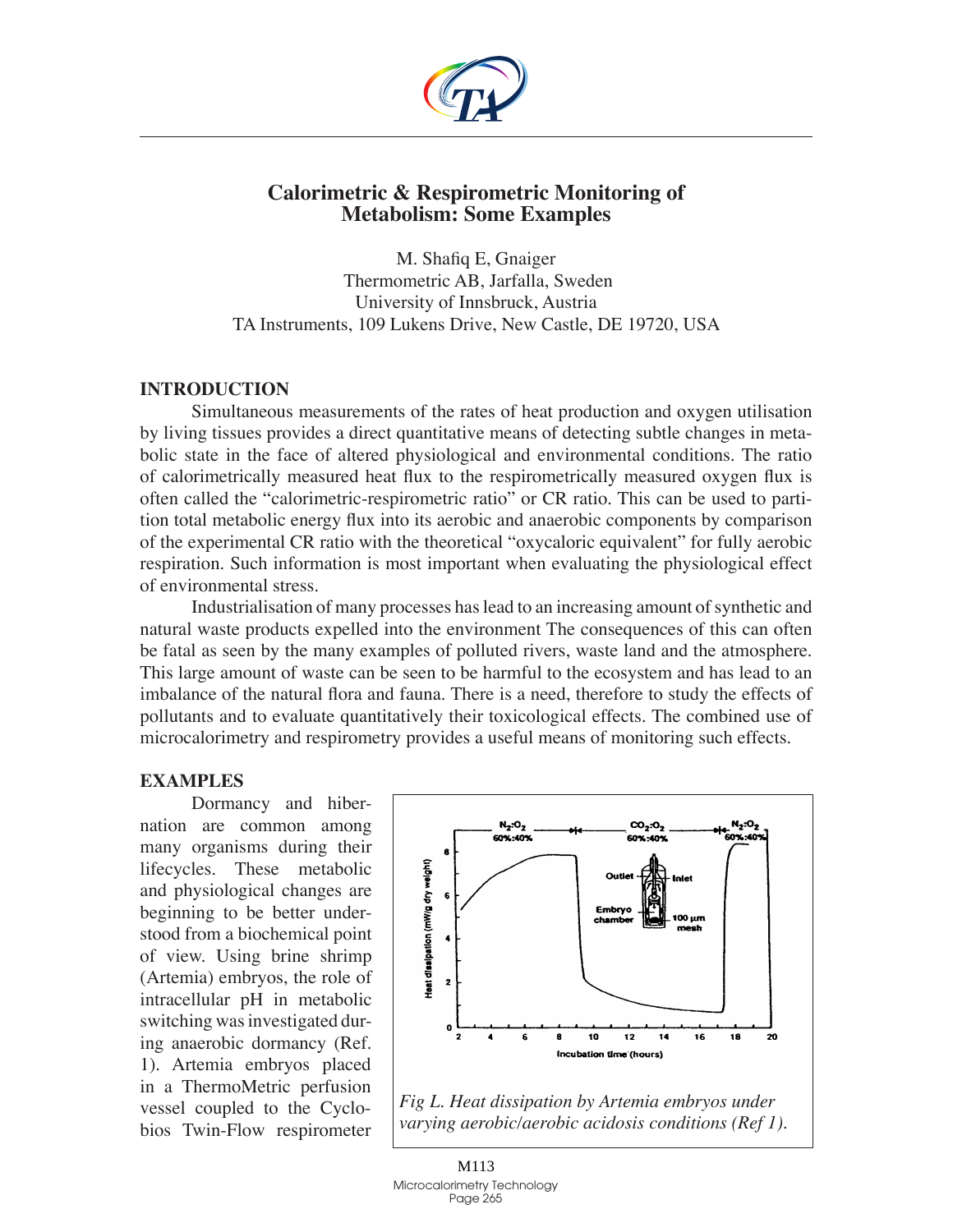

# **Calorimetric & Respirometric Monitoring of Metabolism: Some Examples**

M. Shafiq E, Gnaiger Thermometric AB, Jarfalla, Sweden University of Innsbruck, Austria TA Instruments, 109 Lukens Drive, New Castle, DE 19720, USA

## **Introduction**

Simultaneous measurements of the rates of heat production and oxygen utilisation by living tissues provides a direct quantitative means of detecting subtle changes in metabolic state in the face of altered physiological and environmental conditions. The ratio of calorimetrically measured heat flux to the respirometrically measured oxygen flux is often called the "calorimetric-respirometric ratio" or CR ratio. This can be used to partition total metabolic energy flux into its aerobic and anaerobic components by comparison of the experimental CR ratio with the theoretical "oxycaloric equivalent" for fully aerobic respiration. Such information is most important when evaluating the physiological effect of environmental stress.

Industrialisation of many processes has lead to an increasing amount of synthetic and natural waste products expelled into the environment The consequences of this can often be fatal as seen by the many examples of polluted rivers, waste land and the atmosphere. This large amount of waste can be seen to be harmful to the ecosystem and has lead to an imbalance of the natural flora and fauna. There is a need, therefore to study the effects of pollutants and to evaluate quantitatively their toxicological effects. The combined use of microcalorimetry and respirometry provides a useful means of monitoring such effects.

#### **Examples**

Dormancy and hibernation are common among many organisms during their lifecycles. These metabolic and physiological changes are beginning to be better understood from a biochemical point of view. Using brine shrimp (Artemia) embryos, the role of intracellular pH in metabolic switching was investigated during anaerobic dormancy (Ref. 1). Artemia embryos placed in a ThermoMetric perfusion vessel coupled to the Cyclobios Twin-Flow respirometer



*Fig L. Heat dissipation by Artemia embryos under varying aerobic/aerobic acidosis conditions (Ref 1).*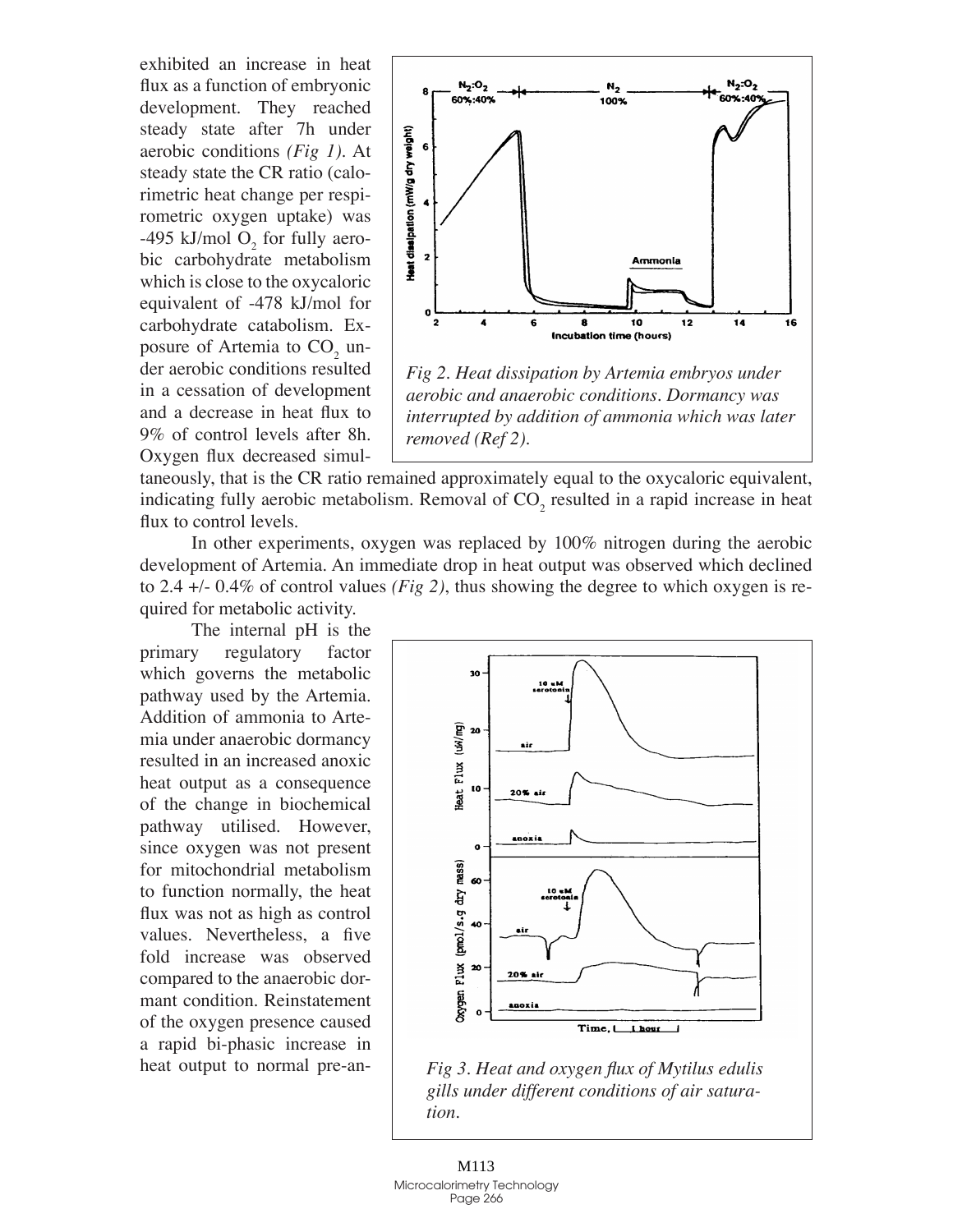exhibited an increase in heat flux as a function of embryonic development. They reached steady state after 7h under aerobic conditions *(Fig 1)*. At steady state the CR ratio (calorimetric heat change per respirometric oxygen uptake) was -495 kJ/mol  $O_2$  for fully aerobic carbohydrate metabolism which is close to the oxycaloric equivalent of -478 kJ/mol for carbohydrate catabolism. Exposure of Artemia to  $CO<sub>2</sub>$  under aerobic conditions resulted in a cessation of development and a decrease in heat flux to 9% of control levels after 8h. Oxygen flux decreased simul-



*Fig 2. Heat dissipation by Artemia embryos under aerobic and anaerobic conditions. Dormancy was interrupted by addition of ammonia which was later removed (Ref 2).*

taneously, that is the CR ratio remained approximately equal to the oxycaloric equivalent, indicating fully aerobic metabolism. Removal of  $CO_2$  resulted in a rapid increase in heat flux to control levels.

In other experiments, oxygen was replaced by 100% nitrogen during the aerobic development of Artemia. An immediate drop in heat output was observed which declined to 2.4 +/- 0.4% of control values *(Fig 2)*, thus showing the degree to which oxygen is required for metabolic activity.

The internal pH is the primary regulatory factor which governs the metabolic pathway used by the Artemia. Addition of ammonia to Artemia under anaerobic dormancy resulted in an increased anoxic heat output as a consequence of the change in biochemical pathway utilised. However, since oxygen was not present for mitochondrial metabolism to function normally, the heat flux was not as high as control values. Nevertheless, a five fold increase was observed compared to the anaerobic dormant condition. Reinstatement of the oxygen presence caused a rapid bi-phasic increase in heat output to normal pre-an-



*Fig 3. Heat and oxygen flux of Mytilus edulis gills under different conditions of air saturation.*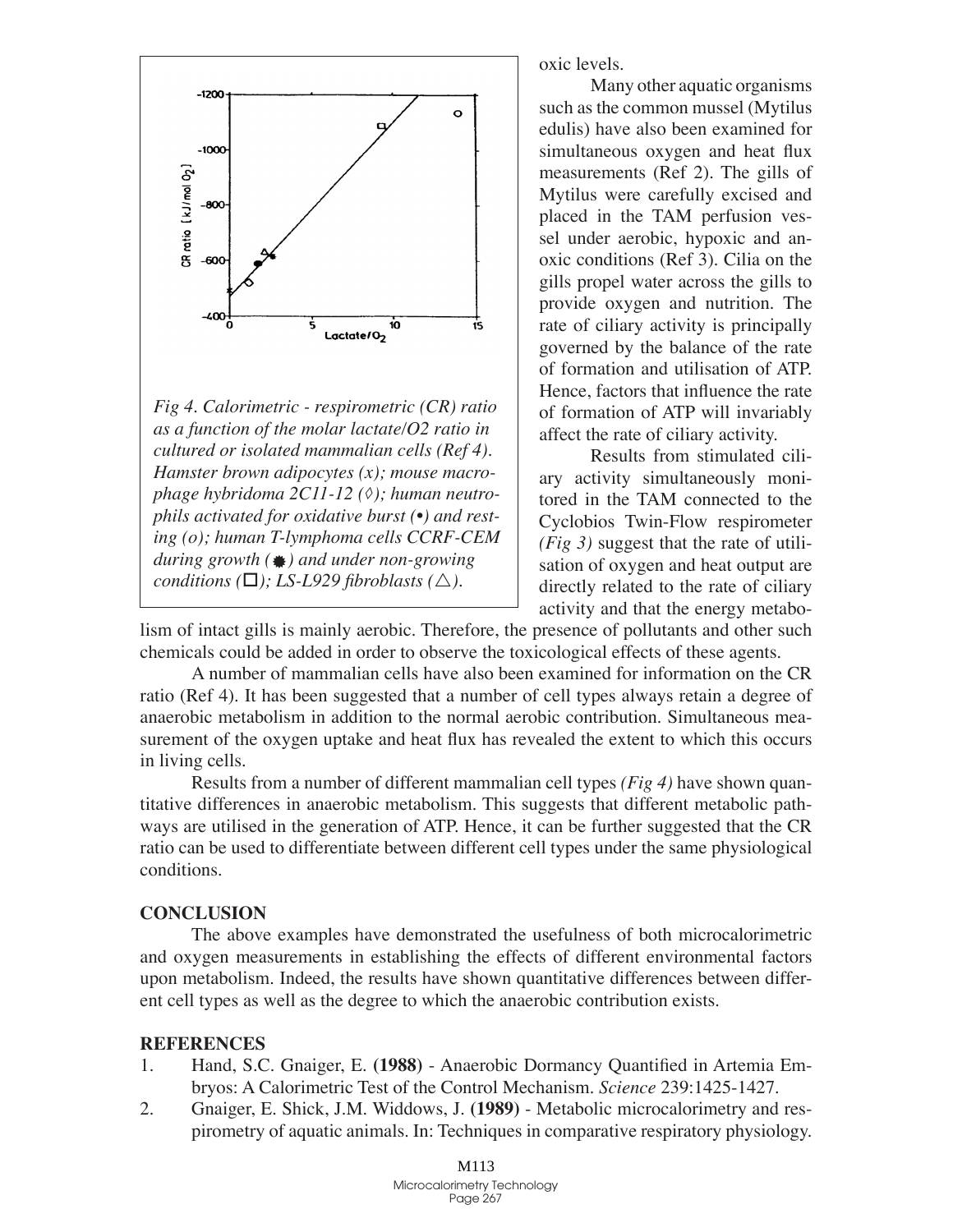

*Fig 4. Calorimetric - respirometric (CR) ratio as a function of the molar lactate/O2 ratio in cultured or isolated mammalian cells (Ref 4). Hamster brown adipocytes (x); mouse macrophage hybridoma 2C11-12 (◊); human neutrophils activated for oxidative burst (•) and resting (o); human T-lymphoma cells CCRF-CEM during growth (*Æ*) and under non-growing conditions* ( $\Box$ *); LS-L929 fibroblasts* ( $\triangle$ ).

oxic levels.

Many other aquatic organisms such as the common mussel (Mytilus edulis) have also been examined for simultaneous oxygen and heat flux measurements (Ref 2). The gills of Mytilus were carefully excised and placed in the TAM perfusion vessel under aerobic, hypoxic and anoxic conditions (Ref 3). Cilia on the gills propel water across the gills to provide oxygen and nutrition. The rate of ciliary activity is principally governed by the balance of the rate of formation and utilisation of ATP. Hence, factors that influence the rate of formation of ATP will invariably affect the rate of ciliary activity.

Results from stimulated ciliary activity simultaneously monitored in the TAM connected to the Cyclobios Twin-Flow respirometer *(Fig 3)* suggest that the rate of utilisation of oxygen and heat output are directly related to the rate of ciliary activity and that the energy metabo-

lism of intact gills is mainly aerobic. Therefore, the presence of pollutants and other such chemicals could be added in order to observe the toxicological effects of these agents.

A number of mammalian cells have also been examined for information on the CR ratio (Ref 4). It has been suggested that a number of cell types always retain a degree of anaerobic metabolism in addition to the normal aerobic contribution. Simultaneous measurement of the oxygen uptake and heat flux has revealed the extent to which this occurs in living cells.

Results from a number of different mammalian cell types *(Fig 4)* have shown quantitative differences in anaerobic metabolism. This suggests that different metabolic pathways are utilised in the generation of ATP. Hence, it can be further suggested that the CR ratio can be used to differentiate between different cell types under the same physiological conditions.

## **Conclusion**

The above examples have demonstrated the usefulness of both microcalorimetric and oxygen measurements in establishing the effects of different environmental factors upon metabolism. Indeed, the results have shown quantitative differences between different cell types as well as the degree to which the anaerobic contribution exists.

## **References**

- Hand, S.C. Gnaiger, E. **(1988)** Anaerobic Dormancy Quantified in Artemia Embryos: A Calorimetric Test of the Control Mechanism. *Science* 239:1425-1427. 1.
- Gnaiger, E. Shick, J.M. Widdows, J. **(1989)** Metabolic microcalorimetry and respirometry of aquatic animals. In: Techniques in comparative respiratory physiology. 2.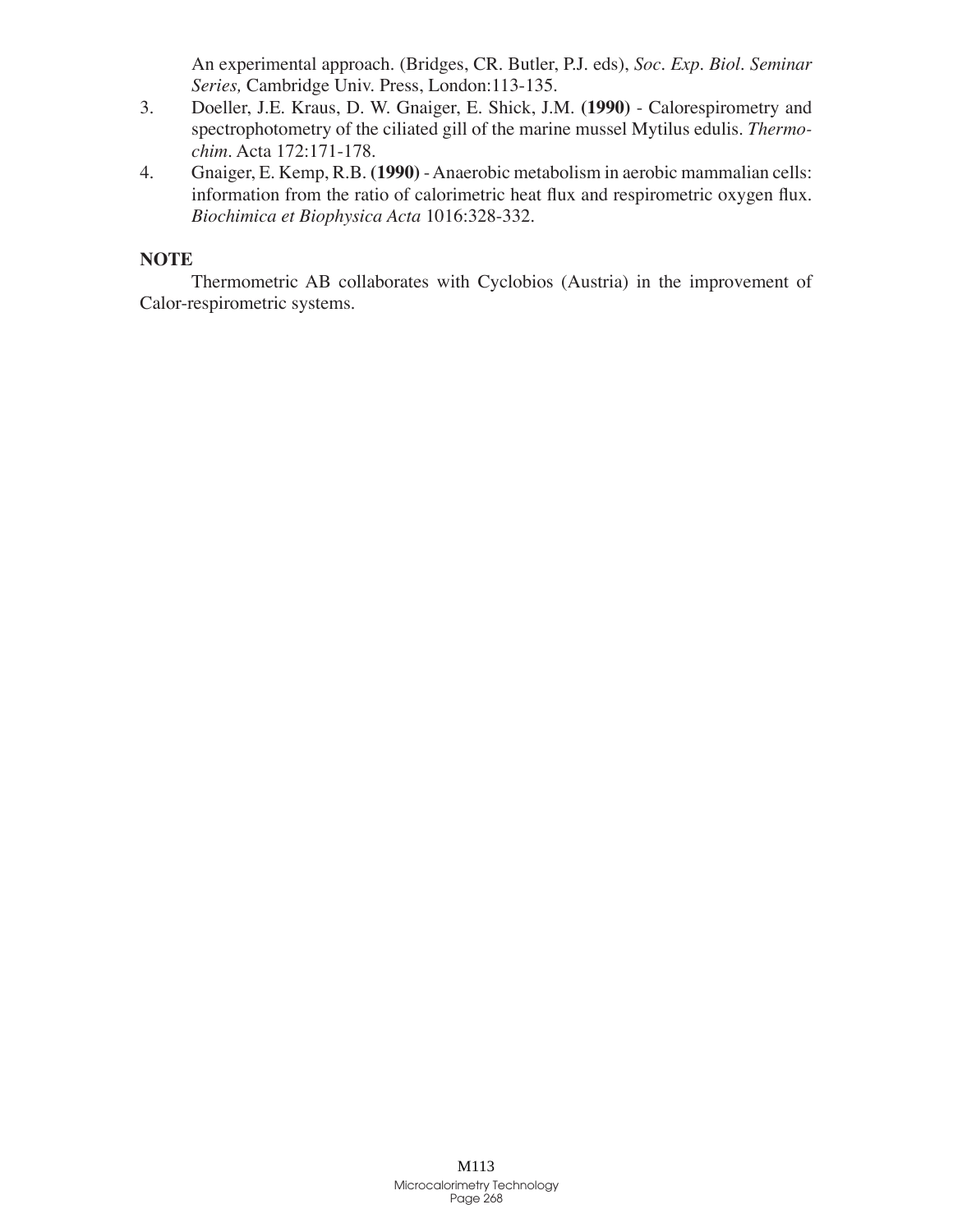An experimental approach. (Bridges, CR. Butler, P.J. eds), *Soc. Exp. Biol. Seminar Series,* Cambridge Univ. Press, London:113-135.

- Doeller, J.E. Kraus, D. W. Gnaiger, E. Shick, J.M. **(1990)** Calorespirometry and spectrophotometry of the ciliated gill of the marine mussel Mytilus edulis. *Thermochim*. Acta 172:171-178. 3.
- Gnaiger, E. Kemp, R.B. **(1990)** Anaerobic metabolism in aerobic mammalian cells: information from the ratio of calorimetric heat flux and respirometric oxygen flux. *Biochimica et Biophysica Acta* 1016:328-332. 4.

# **NOTE**

Thermometric AB collaborates with Cyclobios (Austria) in the improvement of Calor-respirometric systems.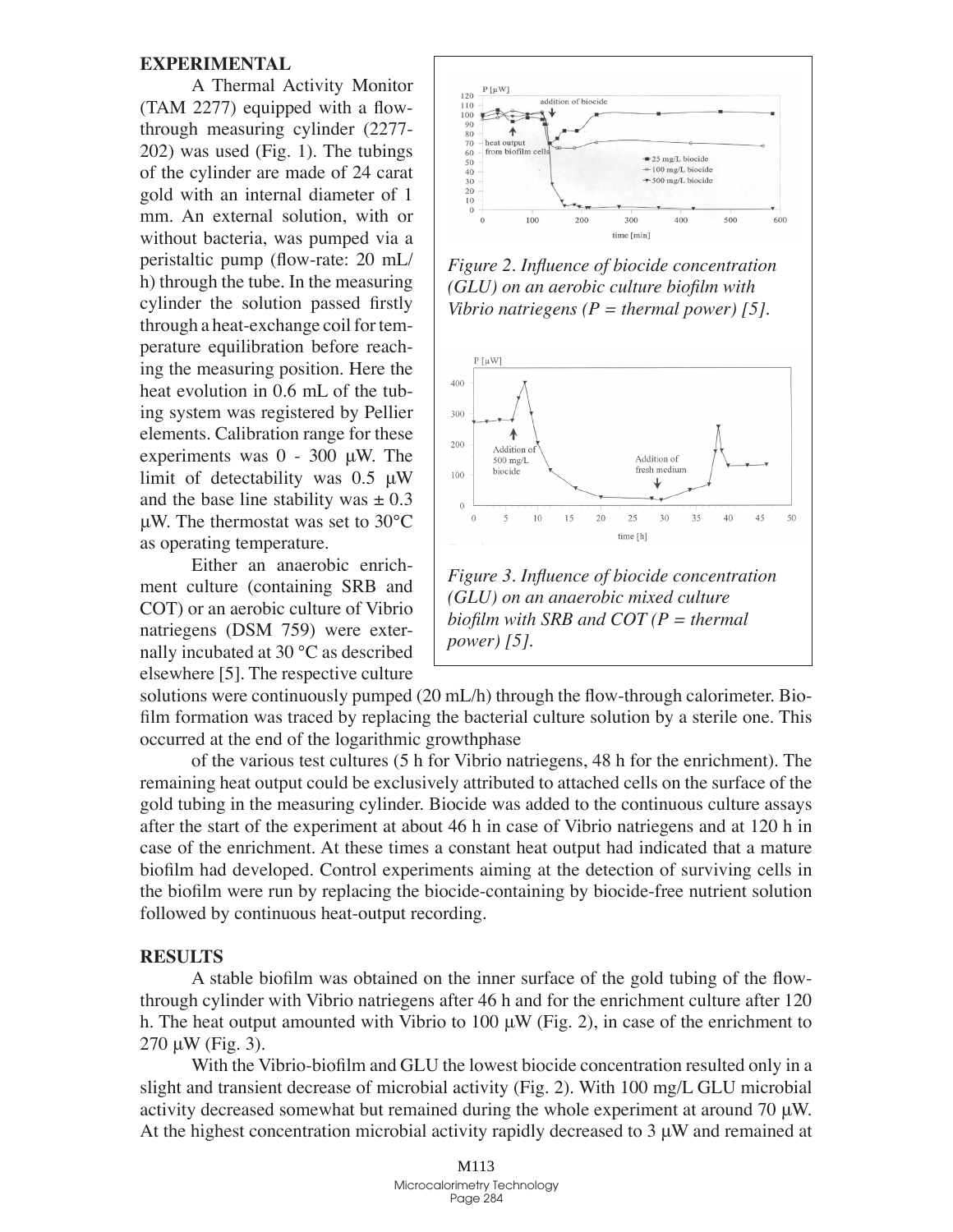### **Experimental**

A Thermal Activity Monitor (TAM 2277) equipped with a flowthrough measuring cylinder (2277- 202) was used (Fig. 1). The tubings of the cylinder are made of 24 carat gold with an internal diameter of 1 mm. An external solution, with or without bacteria, was pumped via a peristaltic pump (flow-rate: 20 mL/ h) through the tube. In the measuring cylinder the solution passed firstly through a heat-exchange coil for temperature equilibration before reaching the measuring position. Here the heat evolution in 0.6 mL of the tubing system was registered by Pellier elements. Calibration range for these experiments was 0 - 300 μW. The limit of detectability was 0.5 μW and the base line stability was  $\pm 0.3$ μW. The thermostat was set to 30°C as operating temperature.

Either an anaerobic enrichment culture (containing SRB and COT) or an aerobic culture of Vibrio natriegens (DSM 759) were externally incubated at 30 °C as described elsewhere [5]. The respective culture



*Figure 2. Influence of biocide concentration (GLU) on an aerobic culture biofilm with Vibrio natriegens (P = thermal power) [5].*



*Figure 3. Influence of biocide concentration (GLU) on an anaerobic mixed culture biofilm with SRB and COT (P = thermal power) [5].*

solutions were continuously pumped (20 mL/h) through the flow-through calorimeter. Biofilm formation was traced by replacing the bacterial culture solution by a sterile one. This occurred at the end of the logarithmic growthphase

of the various test cultures (5 h for Vibrio natriegens, 48 h for the enrichment). The remaining heat output could be exclusively attributed to attached cells on the surface of the gold tubing in the measuring cylinder. Biocide was added to the continuous culture assays after the start of the experiment at about 46 h in case of Vibrio natriegens and at 120 h in case of the enrichment. At these times a constant heat output had indicated that a mature biofilm had developed. Control experiments aiming at the detection of surviving cells in the biofilm were run by replacing the biocide-containing by biocide-free nutrient solution followed by continuous heat-output recording.

## **Results**

A stable biofilm was obtained on the inner surface of the gold tubing of the flowthrough cylinder with Vibrio natriegens after 46 h and for the enrichment culture after 120 h. The heat output amounted with Vibrio to 100  $\mu$ W (Fig. 2), in case of the enrichment to  $270 \mu W$  (Fig. 3).

With the Vibrio-biofilm and GLU the lowest biocide concentration resulted only in a slight and transient decrease of microbial activity (Fig. 2). With 100 mg/L GLU microbial activity decreased somewhat but remained during the whole experiment at around 70 μW. At the highest concentration microbial activity rapidly decreased to 3 μW and remained at